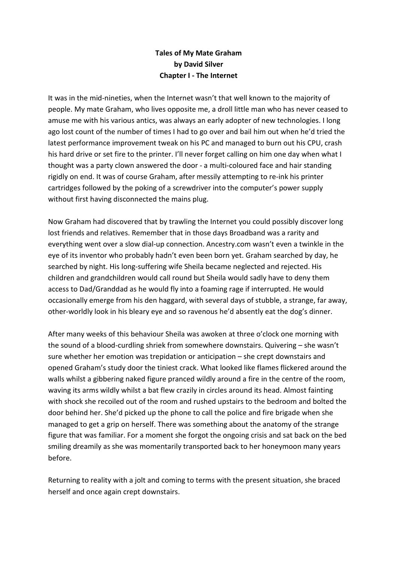## **Tales of My Mate Graham by David Silver Chapter I - The Internet**

It was in the mid-nineties, when the Internet wasn't that well known to the majority of people. My mate Graham, who lives opposite me, a droll little man who has never ceased to amuse me with his various antics, was always an early adopter of new technologies. I long ago lost count of the number of times I had to go over and bail him out when he'd tried the latest performance improvement tweak on his PC and managed to burn out his CPU, crash his hard drive or set fire to the printer. I'll never forget calling on him one day when what I thought was a party clown answered the door - a multi-coloured face and hair standing rigidly on end. It was of course Graham, after messily attempting to re-ink his printer cartridges followed by the poking of a screwdriver into the computer's power supply without first having disconnected the mains plug.

Now Graham had discovered that by trawling the Internet you could possibly discover long lost friends and relatives. Remember that in those days Broadband was a rarity and everything went over a slow dial-up connection. Ancestry.com wasn't even a twinkle in the eye of its inventor who probably hadn't even been born yet. Graham searched by day, he searched by night. His long-suffering wife Sheila became neglected and rejected. His children and grandchildren would call round but Sheila would sadly have to deny them access to Dad/Granddad as he would fly into a foaming rage if interrupted. He would occasionally emerge from his den haggard, with several days of stubble, a strange, far away, other-worldly look in his bleary eye and so ravenous he'd absently eat the dog's dinner.

After many weeks of this behaviour Sheila was awoken at three o'clock one morning with the sound of a blood-curdling shriek from somewhere downstairs. Quivering – she wasn't sure whether her emotion was trepidation or anticipation – she crept downstairs and opened Graham's study door the tiniest crack. What looked like flames flickered around the walls whilst a gibbering naked figure pranced wildly around a fire in the centre of the room, waving its arms wildly whilst a bat flew crazily in circles around its head. Almost fainting with shock she recoiled out of the room and rushed upstairs to the bedroom and bolted the door behind her. She'd picked up the phone to call the police and fire brigade when she managed to get a grip on herself. There was something about the anatomy of the strange figure that was familiar. For a moment she forgot the ongoing crisis and sat back on the bed smiling dreamily as she was momentarily transported back to her honeymoon many years before.

Returning to reality with a jolt and coming to terms with the present situation, she braced herself and once again crept downstairs.